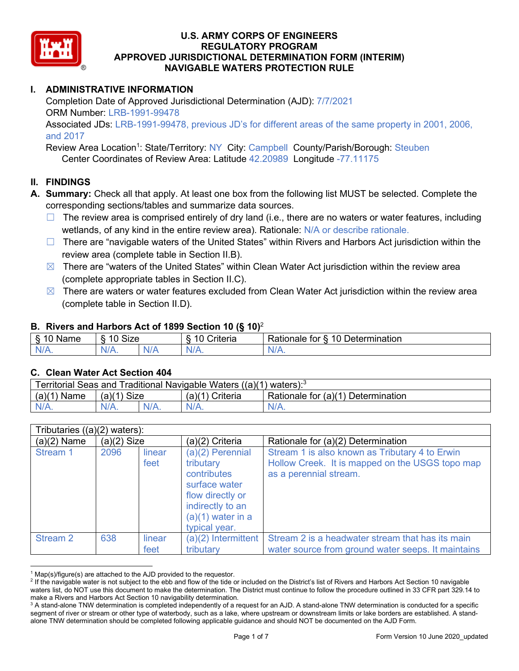

# **I. ADMINISTRATIVE INFORMATION**

Completion Date of Approved Jurisdictional Determination (AJD): 7/7/2021 ORM Number: LRB-1991-99478 Associated JDs: LRB-1991-99478, previous JD's for different areas of the same property in 2001, 2006,

#### and 2017

Review Area Location<sup>1</sup>: State/Territory: NY City: Campbell County/Parish/Borough: Steuben Center Coordinates of Review Area: Latitude 42.20989 Longitude -77.11175

## **II. FINDINGS**

- **A. Summary:** Check all that apply. At least one box from the following list MUST be selected. Complete the corresponding sections/tables and summarize data sources.
	- $\Box$  The review area is comprised entirely of dry land (i.e., there are no waters or water features, including wetlands, of any kind in the entire review area). Rationale: N/A or describe rationale.
	- □ There are "navigable waters of the United States" within Rivers and Harbors Act jurisdiction within the review area (complete table in Section II.B).
	- $\boxtimes$  There are "waters of the United States" within Clean Water Act jurisdiction within the review area (complete appropriate tables in Section II.C).
	- $\boxtimes$  There are waters or water features excluded from Clean Water Act jurisdiction within the review area (complete table in Section II.D).

#### **B. Rivers and Harbors Act of 1899 Section 10 (§ 10)**<sup>2</sup>

| Name | $^{\circ}$ $^{\circ}$ ize $^{\circ}$<br>$\sim$<br>-<br>ש∠וכ |     | $\sim$ $\sim$<br>$\overline{\phantom{a}}$<br>Driteria | $\overline{\phantom{0}}$<br>10<br>∽<br>Jetermination<br>tor<br>Rationale |
|------|-------------------------------------------------------------|-----|-------------------------------------------------------|--------------------------------------------------------------------------|
| N    | N/L<br>$\mathbf{v}$                                         | NI/ | ND 7<br>. .                                           | 111 M                                                                    |

## **C. Clean Water Act Section 404**

| Territorial Seas and Traditional Navigable Waters ((a)(1) waters): $^3$ |               |         |                    |                                    |  |  |
|-------------------------------------------------------------------------|---------------|---------|--------------------|------------------------------------|--|--|
| (a)(1)<br>Name                                                          | Size<br>(a)(1 |         | (a)(1)<br>Criteria | Rationale for (a)(1) Determination |  |  |
|                                                                         | $N/A$ .       | $N/A$ . |                    | $N/A$ .                            |  |  |

|               | Tributaries $((a)(2)$ waters): |                |                                                                                                                                                 |                                                                                                                             |  |  |  |
|---------------|--------------------------------|----------------|-------------------------------------------------------------------------------------------------------------------------------------------------|-----------------------------------------------------------------------------------------------------------------------------|--|--|--|
| $(a)(2)$ Name | $(a)(2)$ Size                  |                | (a)(2) Criteria                                                                                                                                 | Rationale for (a)(2) Determination                                                                                          |  |  |  |
| Stream 1      | 2096                           | linear<br>feet | $(a)(2)$ Perennial<br>tributary<br>contributes<br>surface water<br>flow directly or<br>indirectly to an<br>$(a)(1)$ water in a<br>typical year. | Stream 1 is also known as Tributary 4 to Erwin<br>Hollow Creek. It is mapped on the USGS topo map<br>as a perennial stream. |  |  |  |
| Stream 2      | 638                            | linear<br>feet | $(a)(2)$ Intermittent<br>tributary                                                                                                              | Stream 2 is a headwater stream that has its main<br>water source from ground water seeps. It maintains                      |  |  |  |

 $1$  Map(s)/figure(s) are attached to the AJD provided to the requestor.

<sup>&</sup>lt;sup>2</sup> If the navigable water is not subject to the ebb and flow of the tide or included on the District's list of Rivers and Harbors Act Section 10 navigable waters list, do NOT use this document to make the determination. The District must continue to follow the procedure outlined in 33 CFR part 329.14 to make a Rivers and Harbors Act Section 10 navigability determination.

<sup>&</sup>lt;sup>3</sup> A stand-alone TNW determination is completed independently of a request for an AJD. A stand-alone TNW determination is conducted for a specific segment of river or stream or other type of waterbody, such as a lake, where upstream or downstream limits or lake borders are established. A standalone TNW determination should be completed following applicable guidance and should NOT be documented on the AJD Form.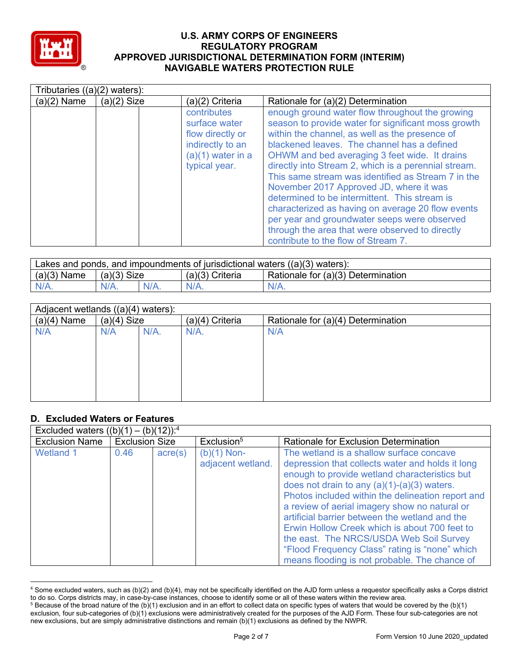

| Tributaries $((a)(2)$ waters): |               |                                                                                                              |                                                                                                                                                                                                                                                                                                                                                                                                                                                                                                                                                                                                                                                                   |
|--------------------------------|---------------|--------------------------------------------------------------------------------------------------------------|-------------------------------------------------------------------------------------------------------------------------------------------------------------------------------------------------------------------------------------------------------------------------------------------------------------------------------------------------------------------------------------------------------------------------------------------------------------------------------------------------------------------------------------------------------------------------------------------------------------------------------------------------------------------|
| $(a)(2)$ Name                  | $(a)(2)$ Size | (a)(2) Criteria                                                                                              | Rationale for (a)(2) Determination                                                                                                                                                                                                                                                                                                                                                                                                                                                                                                                                                                                                                                |
|                                |               | contributes<br>surface water<br>flow directly or<br>indirectly to an<br>$(a)(1)$ water in a<br>typical year. | enough ground water flow throughout the growing<br>season to provide water for significant moss growth<br>within the channel, as well as the presence of<br>blackened leaves. The channel has a defined<br>OHWM and bed averaging 3 feet wide. It drains<br>directly into Stream 2, which is a perennial stream.<br>This same stream was identified as Stream 7 in the<br>November 2017 Approved JD, where it was<br>determined to be intermittent. This stream is<br>characterized as having on average 20 flow events<br>per year and groundwater seeps were observed<br>through the area that were observed to directly<br>contribute to the flow of Stream 7. |

| Lakes and ponds, and impoundments of jurisdictional waters $((a)(3)$ waters): |               |         |                   |                                    |  |  |
|-------------------------------------------------------------------------------|---------------|---------|-------------------|------------------------------------|--|--|
| $(a)(3)$ Name                                                                 | $(a)(3)$ Size |         | $(a)(3)$ Criteria | Rationale for (a)(3) Determination |  |  |
| $N/A$ .                                                                       | $N/A$ .       | $N/A$ . | $N/A$ .           | $N/A$ .                            |  |  |

| Adjacent wetlands ((a)(4) waters): |               |  |                   |                                    |  |
|------------------------------------|---------------|--|-------------------|------------------------------------|--|
| $(a)(4)$ Name                      | $(a)(4)$ Size |  | $(a)(4)$ Criteria | Rationale for (a)(4) Determination |  |
| N/A                                | N/A.<br>N/A   |  | $N/A$ .           | N/A                                |  |
|                                    |               |  |                   |                                    |  |
|                                    |               |  |                   |                                    |  |
|                                    |               |  |                   |                                    |  |
|                                    |               |  |                   |                                    |  |
|                                    |               |  |                   |                                    |  |
|                                    |               |  |                   |                                    |  |

## **D. Excluded Waters or Features**

|                       | Excluded waters $((b)(1) - (b)(12))$ : <sup>4</sup> |                  |                                    |                                                                                                                                                                                                                                                                                                                                                                                                                                                                                                                                                       |  |  |  |
|-----------------------|-----------------------------------------------------|------------------|------------------------------------|-------------------------------------------------------------------------------------------------------------------------------------------------------------------------------------------------------------------------------------------------------------------------------------------------------------------------------------------------------------------------------------------------------------------------------------------------------------------------------------------------------------------------------------------------------|--|--|--|
| <b>Exclusion Name</b> | <b>Exclusion Size</b>                               |                  | Exclusion <sup>5</sup>             | Rationale for Exclusion Determination                                                                                                                                                                                                                                                                                                                                                                                                                                                                                                                 |  |  |  |
| <b>Wetland 1</b>      | 0.46                                                | $\text{acre}(s)$ | $(b)(1)$ Non-<br>adjacent wetland. | The wetland is a shallow surface concave<br>depression that collects water and holds it long<br>enough to provide wetland characteristics but<br>does not drain to any $(a)(1)-(a)(3)$ waters.<br>Photos included within the delineation report and<br>a review of aerial imagery show no natural or<br>artificial barrier between the wetland and the<br>Erwin Hollow Creek which is about 700 feet to<br>the east. The NRCS/USDA Web Soil Survey<br>"Flood Frequency Class" rating is "none" which<br>means flooding is not probable. The chance of |  |  |  |

<sup>4</sup> Some excluded waters, such as (b)(2) and (b)(4), may not be specifically identified on the AJD form unless a requestor specifically asks a Corps district to do so. Corps districts may, in case-by-case instances, choose to identify some or all of these waters within the review area.

<sup>5</sup> Because of the broad nature of the (b)(1) exclusion and in an effort to collect data on specific types of waters that would be covered by the (b)(1) exclusion, four sub-categories of (b)(1) exclusions were administratively created for the purposes of the AJD Form. These four sub-categories are not new exclusions, but are simply administrative distinctions and remain (b)(1) exclusions as defined by the NWPR.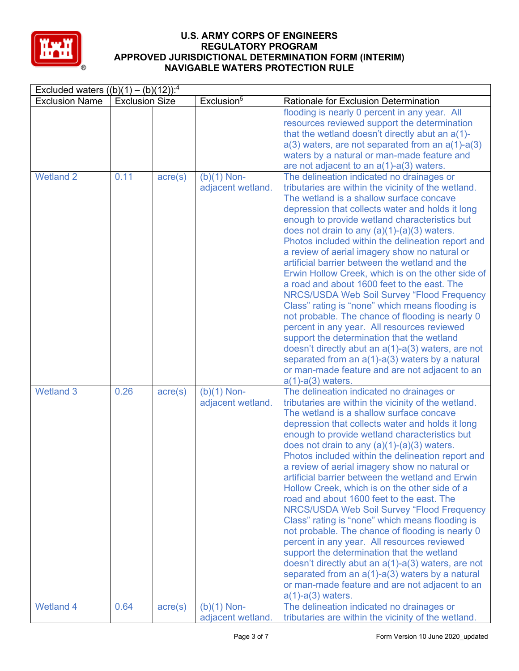

| Excluded waters $((b)(1) - (b)(12))$ : <sup>4</sup> |                       |                  |                                    |                                                                                                                                                                                                                                                                                                                                                                                                                                                                                                                                                                                                                                                                                                                                                                                                                                                                                                                                                                                                                 |  |
|-----------------------------------------------------|-----------------------|------------------|------------------------------------|-----------------------------------------------------------------------------------------------------------------------------------------------------------------------------------------------------------------------------------------------------------------------------------------------------------------------------------------------------------------------------------------------------------------------------------------------------------------------------------------------------------------------------------------------------------------------------------------------------------------------------------------------------------------------------------------------------------------------------------------------------------------------------------------------------------------------------------------------------------------------------------------------------------------------------------------------------------------------------------------------------------------|--|
| <b>Exclusion Name</b>                               | <b>Exclusion Size</b> |                  | Exclusion <sup>5</sup>             | Rationale for Exclusion Determination                                                                                                                                                                                                                                                                                                                                                                                                                                                                                                                                                                                                                                                                                                                                                                                                                                                                                                                                                                           |  |
|                                                     |                       |                  |                                    | flooding is nearly 0 percent in any year. All<br>resources reviewed support the determination<br>that the wetland doesn't directly abut an $a(1)$ -<br>$a(3)$ waters, are not separated from an $a(1)$ - $a(3)$<br>waters by a natural or man-made feature and<br>are not adjacent to an $a(1)$ - $a(3)$ waters.                                                                                                                                                                                                                                                                                                                                                                                                                                                                                                                                                                                                                                                                                                |  |
| <b>Wetland 2</b>                                    | 0.11                  | $\text{acre}(s)$ | $(b)(1)$ Non-<br>adjacent wetland. | The delineation indicated no drainages or<br>tributaries are within the vicinity of the wetland.<br>The wetland is a shallow surface concave<br>depression that collects water and holds it long<br>enough to provide wetland characteristics but<br>does not drain to any $(a)(1)-(a)(3)$ waters.<br>Photos included within the delineation report and<br>a review of aerial imagery show no natural or<br>artificial barrier between the wetland and the<br>Erwin Hollow Creek, which is on the other side of<br>a road and about 1600 feet to the east. The<br><b>NRCS/USDA Web Soil Survey "Flood Frequency</b><br>Class" rating is "none" which means flooding is<br>not probable. The chance of flooding is nearly 0<br>percent in any year. All resources reviewed<br>support the determination that the wetland<br>doesn't directly abut an $a(1)$ - $a(3)$ waters, are not<br>separated from an a(1)-a(3) waters by a natural<br>or man-made feature and are not adjacent to an<br>$a(1)-a(3)$ waters. |  |
| <b>Wetland 3</b>                                    | 0.26                  | $\text{acre}(s)$ | $(b)(1)$ Non-<br>adjacent wetland. | The delineation indicated no drainages or<br>tributaries are within the vicinity of the wetland.<br>The wetland is a shallow surface concave<br>depression that collects water and holds it long<br>enough to provide wetland characteristics but<br>does not drain to any $(a)(1)-(a)(3)$ waters.<br>Photos included within the delineation report and<br>a review of aerial imagery show no natural or<br>artificial barrier between the wetland and Erwin<br>Hollow Creek, which is on the other side of a<br>road and about 1600 feet to the east. The<br><b>NRCS/USDA Web Soil Survey "Flood Frequency</b><br>Class" rating is "none" which means flooding is<br>not probable. The chance of flooding is nearly 0<br>percent in any year. All resources reviewed<br>support the determination that the wetland<br>doesn't directly abut an a(1)-a(3) waters, are not<br>separated from an $a(1)$ - $a(3)$ waters by a natural<br>or man-made feature and are not adjacent to an<br>$a(1)-a(3)$ waters.     |  |
| <b>Wetland 4</b>                                    | 0.64                  | $\text{acre}(s)$ | $(b)(1)$ Non-<br>adjacent wetland. | The delineation indicated no drainages or<br>tributaries are within the vicinity of the wetland.                                                                                                                                                                                                                                                                                                                                                                                                                                                                                                                                                                                                                                                                                                                                                                                                                                                                                                                |  |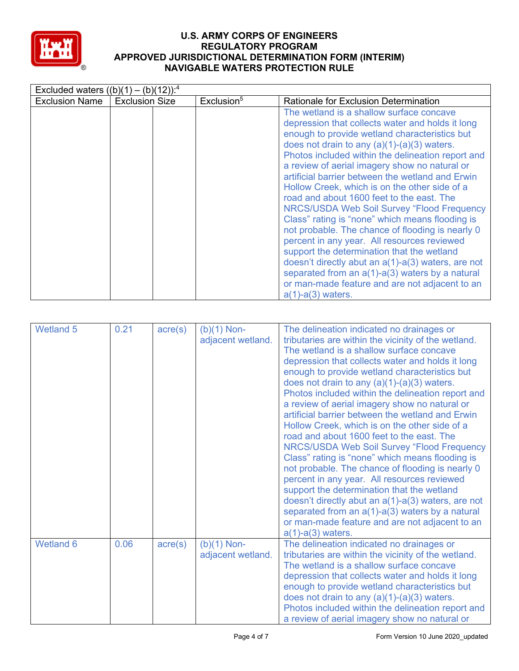

| Excluded waters $((b)(1) - (b)(12))$ : <sup>4</sup> |                       |                        |                                                                                                                                                                                                                                                                                                                                                                                                                                                                                                                                                                                                                                                                                                                                                                                                                                                                                                         |
|-----------------------------------------------------|-----------------------|------------------------|---------------------------------------------------------------------------------------------------------------------------------------------------------------------------------------------------------------------------------------------------------------------------------------------------------------------------------------------------------------------------------------------------------------------------------------------------------------------------------------------------------------------------------------------------------------------------------------------------------------------------------------------------------------------------------------------------------------------------------------------------------------------------------------------------------------------------------------------------------------------------------------------------------|
| <b>Exclusion Name</b>                               | <b>Exclusion Size</b> | Exclusion <sup>5</sup> | Rationale for Exclusion Determination                                                                                                                                                                                                                                                                                                                                                                                                                                                                                                                                                                                                                                                                                                                                                                                                                                                                   |
|                                                     |                       |                        | The wetland is a shallow surface concave<br>depression that collects water and holds it long<br>enough to provide wetland characteristics but<br>does not drain to any $(a)(1)-(a)(3)$ waters.<br>Photos included within the delineation report and<br>a review of aerial imagery show no natural or<br>artificial barrier between the wetland and Erwin<br>Hollow Creek, which is on the other side of a<br>road and about 1600 feet to the east. The<br><b>NRCS/USDA Web Soil Survey "Flood Frequency</b><br>Class" rating is "none" which means flooding is<br>not probable. The chance of flooding is nearly 0<br>percent in any year. All resources reviewed<br>support the determination that the wetland<br>doesn't directly abut an a(1)-a(3) waters, are not<br>separated from an $a(1)$ - $a(3)$ waters by a natural<br>or man-made feature and are not adjacent to an<br>$a(1)-a(3)$ waters. |

| <b>Wetland 5</b> | 0.21 | $\text{acre}(s)$ | $(b)(1)$ Non-<br>adjacent wetland. | The delineation indicated no drainages or<br>tributaries are within the vicinity of the wetland.<br>The wetland is a shallow surface concave<br>depression that collects water and holds it long<br>enough to provide wetland characteristics but<br>does not drain to any $(a)(1)-(a)(3)$ waters.<br>Photos included within the delineation report and<br>a review of aerial imagery show no natural or<br>artificial barrier between the wetland and Erwin<br>Hollow Creek, which is on the other side of a<br>road and about 1600 feet to the east. The<br><b>NRCS/USDA Web Soil Survey "Flood Frequency</b><br>Class" rating is "none" which means flooding is<br>not probable. The chance of flooding is nearly 0<br>percent in any year. All resources reviewed<br>support the determination that the wetland<br>doesn't directly abut an $a(1)$ - $a(3)$ waters, are not<br>separated from an $a(1)$ - $a(3)$ waters by a natural<br>or man-made feature and are not adjacent to an<br>$a(1)-a(3)$ waters. |
|------------------|------|------------------|------------------------------------|-------------------------------------------------------------------------------------------------------------------------------------------------------------------------------------------------------------------------------------------------------------------------------------------------------------------------------------------------------------------------------------------------------------------------------------------------------------------------------------------------------------------------------------------------------------------------------------------------------------------------------------------------------------------------------------------------------------------------------------------------------------------------------------------------------------------------------------------------------------------------------------------------------------------------------------------------------------------------------------------------------------------|
| <b>Wetland 6</b> | 0.06 | $\text{acre}(s)$ | $(b)(1)$ Non-<br>adjacent wetland. | The delineation indicated no drainages or<br>tributaries are within the vicinity of the wetland.<br>The wetland is a shallow surface concave<br>depression that collects water and holds it long<br>enough to provide wetland characteristics but<br>does not drain to any $(a)(1)-(a)(3)$ waters.<br>Photos included within the delineation report and<br>a review of aerial imagery show no natural or                                                                                                                                                                                                                                                                                                                                                                                                                                                                                                                                                                                                          |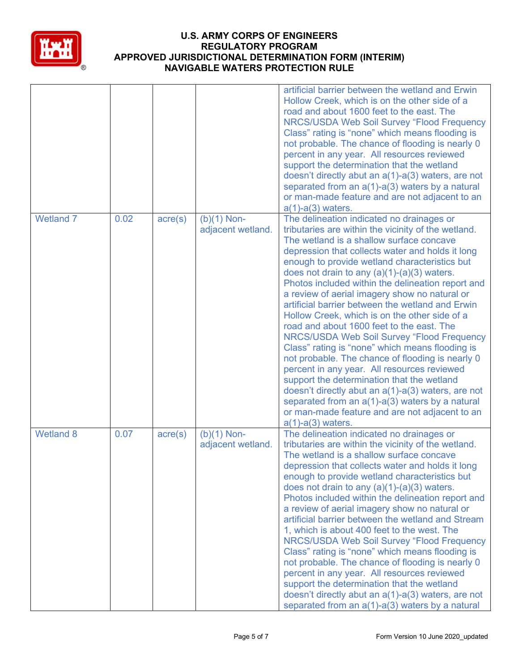

|                  |      |                  |                                    | artificial barrier between the wetland and Erwin<br>Hollow Creek, which is on the other side of a<br>road and about 1600 feet to the east. The<br><b>NRCS/USDA Web Soil Survey "Flood Frequency</b><br>Class" rating is "none" which means flooding is<br>not probable. The chance of flooding is nearly 0<br>percent in any year. All resources reviewed<br>support the determination that the wetland<br>doesn't directly abut an $a(1)$ - $a(3)$ waters, are not<br>separated from an $a(1)$ - $a(3)$ waters by a natural<br>or man-made feature and are not adjacent to an<br>$a(1)-a(3)$ waters.                                                                                                                                                                                                                                                                                                                                                                                                           |
|------------------|------|------------------|------------------------------------|-----------------------------------------------------------------------------------------------------------------------------------------------------------------------------------------------------------------------------------------------------------------------------------------------------------------------------------------------------------------------------------------------------------------------------------------------------------------------------------------------------------------------------------------------------------------------------------------------------------------------------------------------------------------------------------------------------------------------------------------------------------------------------------------------------------------------------------------------------------------------------------------------------------------------------------------------------------------------------------------------------------------|
| <b>Wetland 7</b> | 0.02 | $\text{acre}(s)$ | $(b)(1)$ Non-<br>adjacent wetland. | The delineation indicated no drainages or<br>tributaries are within the vicinity of the wetland.<br>The wetland is a shallow surface concave<br>depression that collects water and holds it long<br>enough to provide wetland characteristics but<br>does not drain to any (a)(1)-(a)(3) waters.<br>Photos included within the delineation report and<br>a review of aerial imagery show no natural or<br>artificial barrier between the wetland and Erwin<br>Hollow Creek, which is on the other side of a<br>road and about 1600 feet to the east. The<br><b>NRCS/USDA Web Soil Survey "Flood Frequency</b><br>Class" rating is "none" which means flooding is<br>not probable. The chance of flooding is nearly 0<br>percent in any year. All resources reviewed<br>support the determination that the wetland<br>doesn't directly abut an $a(1)$ - $a(3)$ waters, are not<br>separated from an $a(1)$ - $a(3)$ waters by a natural<br>or man-made feature and are not adjacent to an<br>$a(1)-a(3)$ waters. |
| <b>Wetland 8</b> | 0.07 | $\text{acre}(s)$ | $(b)(1)$ Non-<br>adjacent wetland. | The delineation indicated no drainages or<br>tributaries are within the vicinity of the wetland.<br>The wetland is a shallow surface concave<br>depression that collects water and holds it long<br>enough to provide wetland characteristics but<br>does not drain to any $(a)(1)-(a)(3)$ waters.<br>Photos included within the delineation report and<br>a review of aerial imagery show no natural or<br>artificial barrier between the wetland and Stream<br>1, which is about 400 feet to the west. The<br>NRCS/USDA Web Soil Survey "Flood Frequency<br>Class" rating is "none" which means flooding is<br>not probable. The chance of flooding is nearly 0<br>percent in any year. All resources reviewed<br>support the determination that the wetland<br>doesn't directly abut an $a(1)$ - $a(3)$ waters, are not<br>separated from an $a(1)$ - $a(3)$ waters by a natural                                                                                                                             |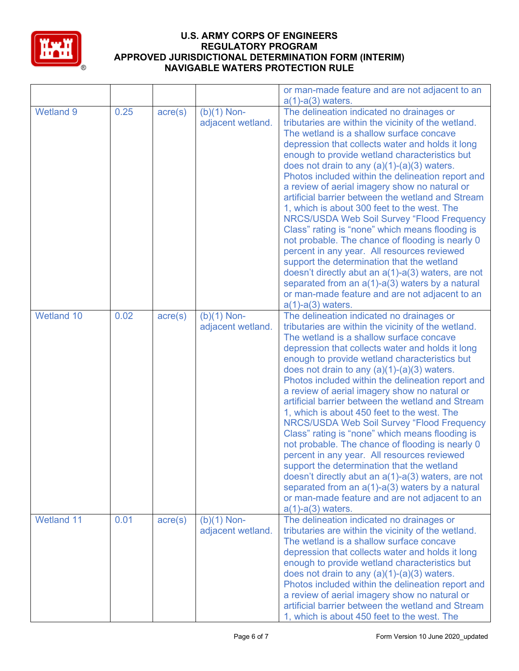

|                   |      |                  |                                    | or man-made feature and are not adjacent to an<br>$a(1)-a(3)$ waters.                                                                                                                                                                                                                                                                                                                                                                                                                                                                                                                                                                                                                                                                                                                                                                                                                                                                                        |
|-------------------|------|------------------|------------------------------------|--------------------------------------------------------------------------------------------------------------------------------------------------------------------------------------------------------------------------------------------------------------------------------------------------------------------------------------------------------------------------------------------------------------------------------------------------------------------------------------------------------------------------------------------------------------------------------------------------------------------------------------------------------------------------------------------------------------------------------------------------------------------------------------------------------------------------------------------------------------------------------------------------------------------------------------------------------------|
| <b>Wetland 9</b>  | 0.25 | $\text{acre}(s)$ | $(b)(1)$ Non-<br>adjacent wetland. | The delineation indicated no drainages or<br>tributaries are within the vicinity of the wetland.<br>The wetland is a shallow surface concave<br>depression that collects water and holds it long<br>enough to provide wetland characteristics but<br>does not drain to any $(a)(1)-(a)(3)$ waters.<br>Photos included within the delineation report and<br>a review of aerial imagery show no natural or<br>artificial barrier between the wetland and Stream<br>1, which is about 300 feet to the west. The<br>NRCS/USDA Web Soil Survey "Flood Frequency<br>Class" rating is "none" which means flooding is<br>not probable. The chance of flooding is nearly 0<br>percent in any year. All resources reviewed<br>support the determination that the wetland<br>doesn't directly abut an $a(1)$ - $a(3)$ waters, are not<br>separated from an $a(1)$ - $a(3)$ waters by a natural<br>or man-made feature and are not adjacent to an<br>$a(1)-a(3)$ waters. |
| <b>Wetland 10</b> | 0.02 | $\text{acre}(s)$ | $(b)(1)$ Non-<br>adjacent wetland. | The delineation indicated no drainages or<br>tributaries are within the vicinity of the wetland.<br>The wetland is a shallow surface concave<br>depression that collects water and holds it long<br>enough to provide wetland characteristics but<br>does not drain to any $(a)(1)-(a)(3)$ waters.<br>Photos included within the delineation report and<br>a review of aerial imagery show no natural or<br>artificial barrier between the wetland and Stream<br>1, which is about 450 feet to the west. The<br>NRCS/USDA Web Soil Survey "Flood Frequency<br>Class" rating is "none" which means flooding is<br>not probable. The chance of flooding is nearly 0<br>percent in any year. All resources reviewed<br>support the determination that the wetland<br>doesn't directly abut an $a(1)$ - $a(3)$ waters, are not<br>separated from an $a(1)$ - $a(3)$ waters by a natural<br>or man-made feature and are not adjacent to an<br>$a(1)-a(3)$ waters. |
| Wetland 11        | 0.01 | $\text{acre}(s)$ | $(b)(1)$ Non-<br>adjacent wetland. | The delineation indicated no drainages or<br>tributaries are within the vicinity of the wetland.<br>The wetland is a shallow surface concave<br>depression that collects water and holds it long<br>enough to provide wetland characteristics but<br>does not drain to any $(a)(1)-(a)(3)$ waters.<br>Photos included within the delineation report and<br>a review of aerial imagery show no natural or<br>artificial barrier between the wetland and Stream<br>1, which is about 450 feet to the west. The                                                                                                                                                                                                                                                                                                                                                                                                                                                 |